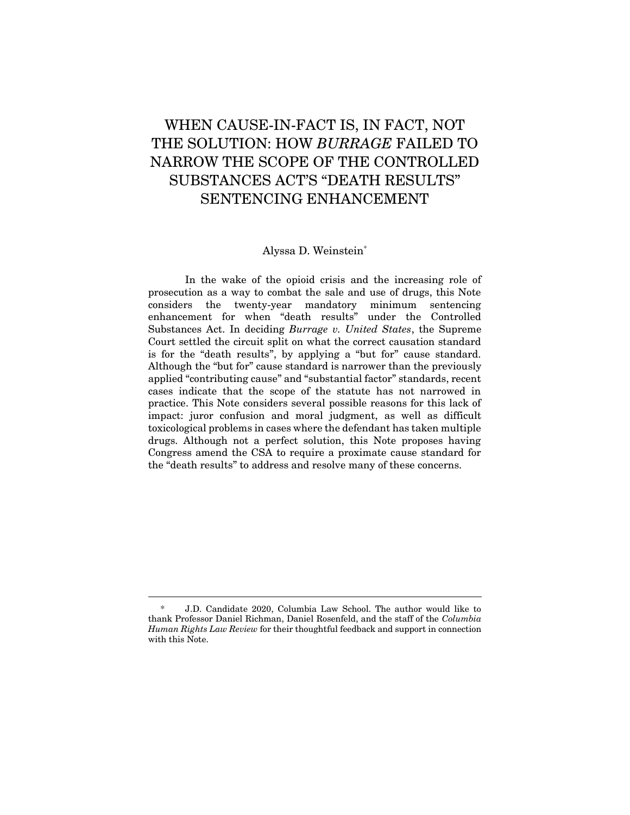# WHEN CAUSE-IN-FACT IS, IN FACT, NOT THE SOLUTION: HOW *BURRAGE* FAILED TO NARROW THE SCOPE OF THE CONTROLLED SUBSTANCES ACT'S "DEATH RESULTS" SENTENCING ENHANCEMENT

# Alyssa D. Weinstein\*

In the wake of the opioid crisis and the increasing role of prosecution as a way to combat the sale and use of drugs, this Note considers the twenty-year mandatory minimum sentencing enhancement for when "death results" under the Controlled Substances Act. In deciding *Burrage v. United States*, the Supreme Court settled the circuit split on what the correct causation standard is for the "death results", by applying a "but for" cause standard. Although the "but for" cause standard is narrower than the previously applied "contributing cause" and "substantial factor" standards, recent cases indicate that the scope of the statute has not narrowed in practice. This Note considers several possible reasons for this lack of impact: juror confusion and moral judgment, as well as difficult toxicological problems in cases where the defendant has taken multiple drugs. Although not a perfect solution, this Note proposes having Congress amend the CSA to require a proximate cause standard for the "death results" to address and resolve many of these concerns.

<sup>\*</sup> J.D. Candidate 2020, Columbia Law School. The author would like to thank Professor Daniel Richman, Daniel Rosenfeld, and the staff of the *Columbia Human Rights Law Review* for their thoughtful feedback and support in connection with this Note.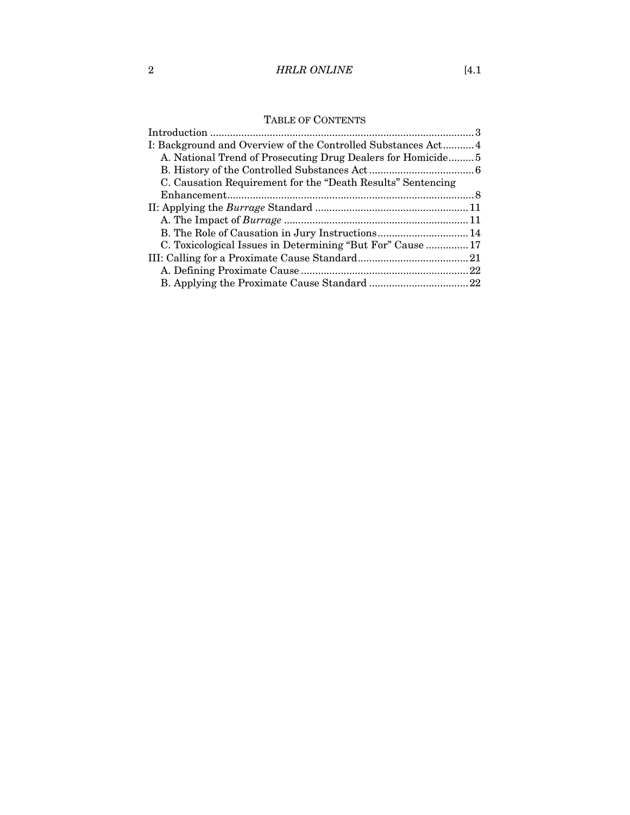# 2 *HRLR ONLINE* [4.1

| I: Background and Overview of the Controlled Substances Act 4 |  |
|---------------------------------------------------------------|--|
| A. National Trend of Prosecuting Drug Dealers for Homicide5   |  |
|                                                               |  |
| C. Causation Requirement for the "Death Results" Sentencing   |  |
|                                                               |  |
|                                                               |  |
|                                                               |  |
|                                                               |  |
| C. Toxicological Issues in Determining "But For" Cause  17    |  |
|                                                               |  |
|                                                               |  |
|                                                               |  |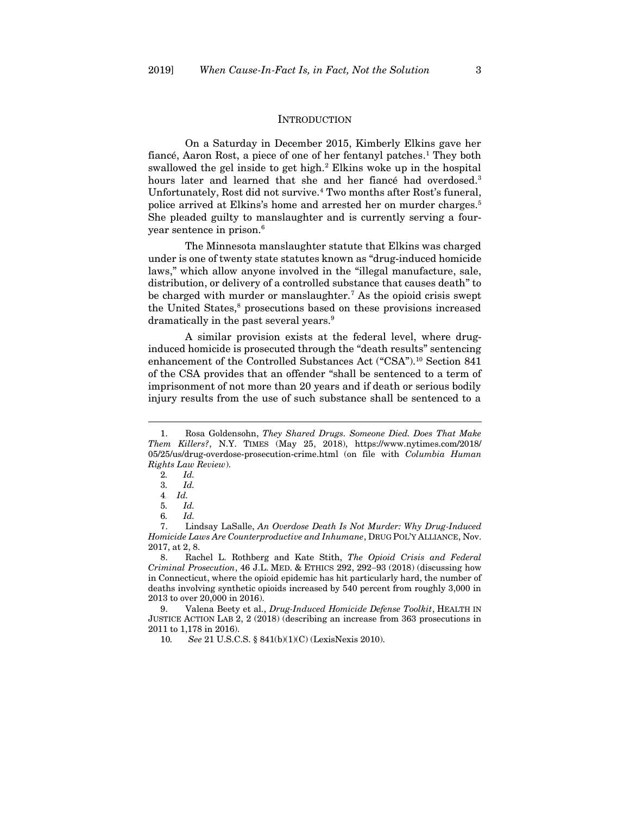#### <span id="page-2-2"></span><span id="page-2-1"></span>**INTRODUCTION**

<span id="page-2-0"></span>On a Saturday in December 2015, Kimberly Elkins gave her fiancé, Aaron Rost, a piece of one of her fentanyl patches. <sup>1</sup> They both swallowed the gel inside to get high.<sup>2</sup> Elkins woke up in the hospital hours later and learned that she and her fiance had overdosed.<sup>3</sup> Unfortunately, Rost did not survive.<sup>4</sup> Two months after Rost's funeral, police arrived at Elkins's home and arrested her on murder charges.<sup>5</sup> She pleaded guilty to manslaughter and is currently serving a fouryear sentence in prison.<sup>6</sup>

The Minnesota manslaughter statute that Elkins was charged under is one of twenty state statutes known as "drug-induced homicide laws," which allow anyone involved in the "illegal manufacture, sale, distribution, or delivery of a controlled substance that causes death" to be charged with murder or manslaughter.<sup>7</sup> As the opioid crisis swept the United States,<sup>8</sup> prosecutions based on these provisions increased dramatically in the past several years.<sup>9</sup>

<span id="page-2-3"></span>A similar provision exists at the federal level, where druginduced homicide is prosecuted through the "death results" sentencing enhancement of the Controlled Substances Act ("CSA").<sup>10</sup> Section 841 of the CSA provides that an offender "shall be sentenced to a term of imprisonment of not more than 20 years and if death or serious bodily injury results from the use of such substance shall be sentenced to a

<sup>1.</sup> Rosa Goldensohn, *They Shared Drugs. Someone Died. Does That Make Them Killers?*, N.Y. TIMES (May 25, 2018), https://www.nytimes.com/2018/ 05/25/us/drug-overdose-prosecution-crime.html (on file with *Columbia Human Rights Law Review*).

<sup>2</sup>*. Id.*

<sup>3</sup>*. Id.*

<sup>4</sup>*. Id.*

<sup>5</sup>*. Id.*

<sup>6</sup>*. Id.*

<sup>7.</sup> Lindsay LaSalle, *An Overdose Death Is Not Murder: Why Drug-Induced Homicide Laws Are Counterproductive and Inhumane*, DRUG POL'Y ALLIANCE, Nov. 2017, at 2, 8.

<sup>8.</sup> Rachel L. Rothberg and Kate Stith, *The Opioid Crisis and Federal Criminal Prosecution*, 46 J.L. MED. & ETHICS 292, 292−93 (2018) (discussing how in Connecticut, where the opioid epidemic has hit particularly hard, the number of deaths involving synthetic opioids increased by 540 percent from roughly 3,000 in 2013 to over 20,000 in 2016).

<sup>9.</sup> Valena Beety et al., *Drug-Induced Homicide Defense Toolkit*, HEALTH IN JUSTICE ACTION LAB 2, 2 (2018) (describing an increase from 363 prosecutions in 2011 to 1,178 in 2016).

<sup>10</sup>*. See* 21 U.S.C.S. § 841(b)(1)(C) (LexisNexis 2010).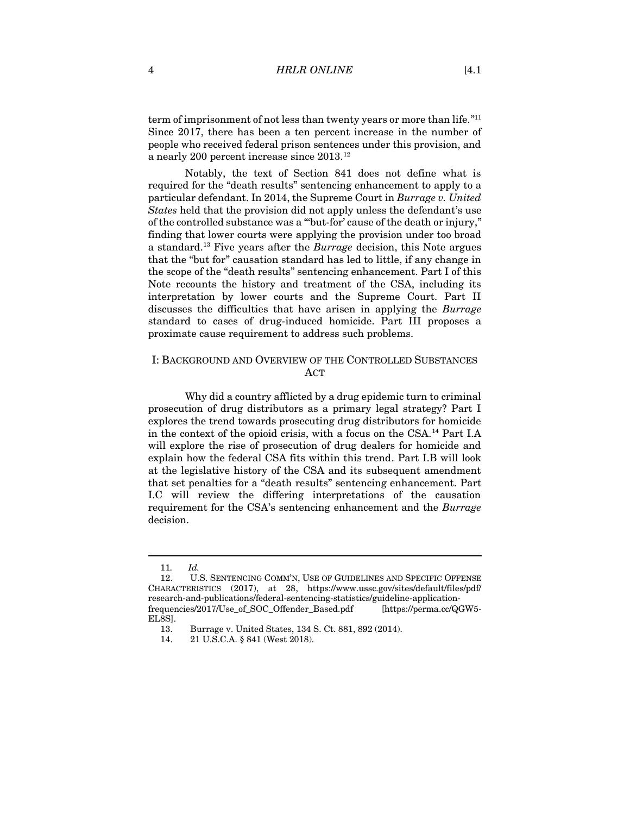term of imprisonment of not less than twenty years or more than life."<sup>11</sup> Since 2017, there has been a ten percent increase in the number of people who received federal prison sentences under this provision, and a nearly 200 percent increase since 2013.<sup>12</sup>

Notably, the text of Section 841 does not define what is required for the "death results" sentencing enhancement to apply to a particular defendant. In 2014, the Supreme Court in *Burrage v. United States* held that the provision did not apply unless the defendant's use of the controlled substance was a "'but-for' cause of the death or injury," finding that lower courts were applying the provision under too broad a standard.<sup>13</sup> Five years after the *Burrage* decision, this Note argues that the "but for" causation standard has led to little, if any change in the scope of the "death results" sentencing enhancement. Part I of this Note recounts the history and treatment of the CSA, including its interpretation by lower courts and the Supreme Court. Part II discusses the difficulties that have arisen in applying the *Burrage* standard to cases of drug-induced homicide. Part III proposes a proximate cause requirement to address such problems.

# <span id="page-3-0"></span>I: BACKGROUND AND OVERVIEW OF THE CONTROLLED SUBSTANCES **ACT**

Why did a country afflicted by a drug epidemic turn to criminal prosecution of drug distributors as a primary legal strategy? Part I explores the trend towards prosecuting drug distributors for homicide in the context of the opioid crisis, with a focus on the CSA.<sup>14</sup> Part I.A will explore the rise of prosecution of drug dealers for homicide and explain how the federal CSA fits within this trend. Part I.B will look at the legislative history of the CSA and its subsequent amendment that set penalties for a "death results" sentencing enhancement. Part I.C will review the differing interpretations of the causation requirement for the CSA's sentencing enhancement and the *Burrage*  decision.

<sup>11</sup>*. Id.*

<sup>12.</sup> U.S. SENTENCING COMM'N, USE OF GUIDELINES AND SPECIFIC OFFENSE CHARACTERISTICS (2017), at 28, https://www.ussc.gov/sites/default/files/pdf/ research-and-publications/federal-sentencing-statistics/guideline-applicationfrequencies/2017/Use\_of\_SOC\_Offender\_Based.pdf [https://perma.cc/QGW5- EL8S].

<sup>13.</sup> Burrage v. United States, 134 S. Ct. 881, 892 (2014).

<sup>14.</sup> 21 U.S.C.A. § 841 (West 2018).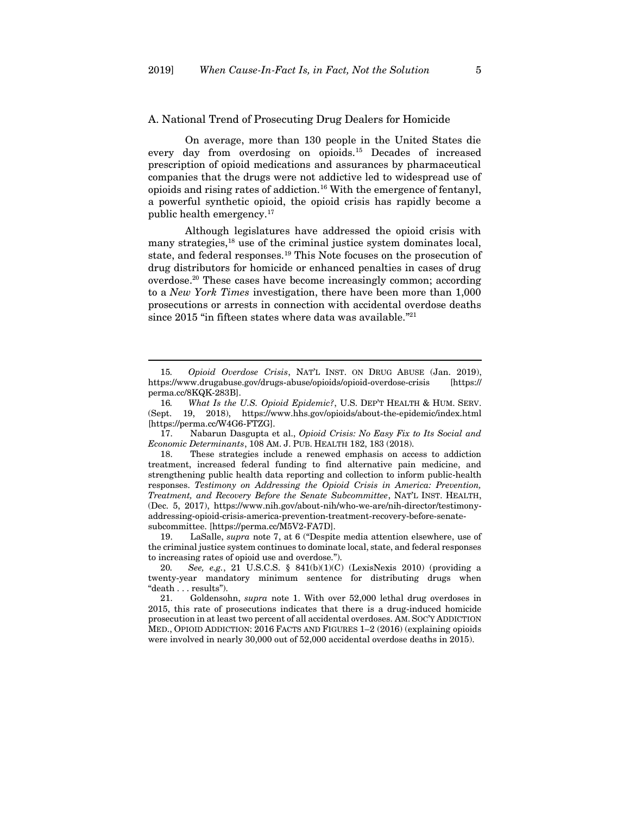#### <span id="page-4-0"></span>A. National Trend of Prosecuting Drug Dealers for Homicide

On average, more than 130 people in the United States die every day from overdosing on opioids.<sup>15</sup> Decades of increased prescription of opioid medications and assurances by pharmaceutical companies that the drugs were not addictive led to widespread use of opioids and rising rates of addiction.<sup>16</sup> With the emergence of fentanyl, a powerful synthetic opioid, the opioid crisis has rapidly become a public health emergency.<sup>17</sup>

Although legislatures have addressed the opioid crisis with many strategies,<sup>18</sup> use of the criminal justice system dominates local, state, and federal responses.<sup>19</sup> This Note focuses on the prosecution of drug distributors for homicide or enhanced penalties in cases of drug overdose.<sup>20</sup> These cases have become increasingly common; according to a *New York Times* investigation, there have been more than 1,000 prosecutions or arrests in connection with accidental overdose deaths since 2015 "in fifteen states where data was available." 21

17. Nabarun Dasgupta et al., *Opioid Crisis: No Easy Fix to Its Social and Economic Determinants*, 108 AM. J. PUB. HEALTH 182, 183 (2018).

18. These strategies include a renewed emphasis on access to addiction treatment, increased federal funding to find alternative pain medicine, and strengthening public health data reporting and collection to inform public-health responses. *Testimony on Addressing the Opioid Crisis in America: Prevention, Treatment, and Recovery Before the Senate Subcommittee*, NAT'L INST. HEALTH, (Dec. 5, 2017), https://www.nih.gov/about-nih/who-we-are/nih-director/testimonyaddressing-opioid-crisis-america-prevention-treatment-recovery-before-senatesubcommittee. [https://perma.cc/M5V2-FA7D].

19. LaSalle, *supra* note [7](#page-2-1), at 6 ("Despite media attention elsewhere, use of the criminal justice system continues to dominate local, state, and federal responses to increasing rates of opioid use and overdose.").

20*. See, e.g.*, 21 U.S.C.S. § 841(b)(1)(C) (LexisNexis 2010) (providing a twenty-year mandatory minimum sentence for distributing drugs when "death . . . results").

21. Goldensohn, *supra* note [1.](#page-2-2) With over 52,000 lethal drug overdoses in 2015, this rate of prosecutions indicates that there is a drug-induced homicide prosecution in at least two percent of all accidental overdoses. AM. SOC'Y ADDICTION MED., OPIOID ADDICTION: 2016 FACTS AND FIGURES 1–2 (2016) (explaining opioids were involved in nearly 30,000 out of 52,000 accidental overdose deaths in 2015).

<sup>15</sup>*. Opioid Overdose Crisis*, NAT'L INST. ON DRUG ABUSE (Jan. 2019), https://www.drugabuse.gov/drugs-abuse/opioids/opioid-overdose-crisis [https:// perma.cc/8KQK-283B].

<sup>16</sup>*. What Is the U.S. Opioid Epidemic?*, U.S. DEP'T HEALTH & HUM. SERV. (Sept. 19, 2018), https://www.hhs.gov/opioids/about-the-epidemic/index.html [https://perma.cc/W4G6-FTZG].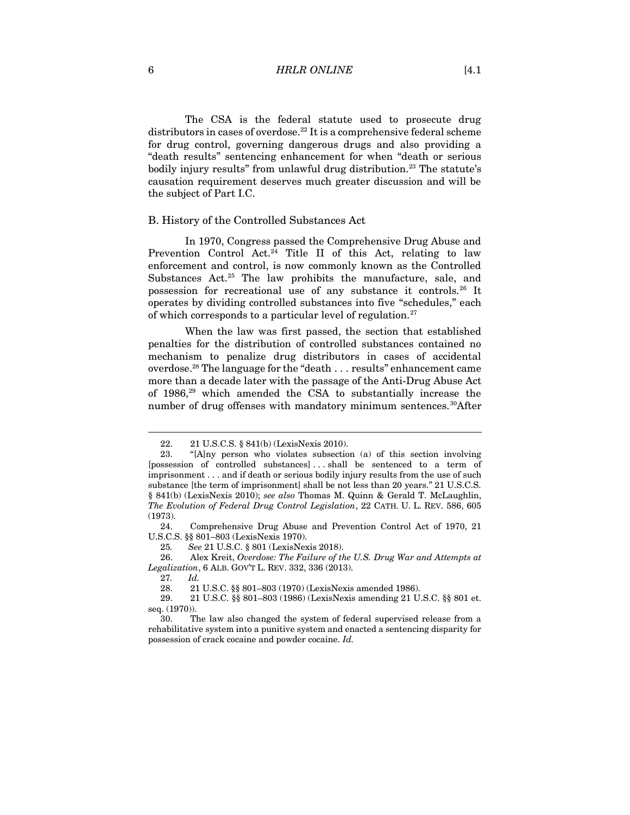6 *HRLR ONLINE* [4.1

The CSA is the federal statute used to prosecute drug distributors in cases of overdose.<sup>22</sup> It is a comprehensive federal scheme for drug control, governing dangerous drugs and also providing a "death results" sentencing enhancement for when "death or serious bodily injury results" from unlawful drug distribution.<sup>23</sup> The statute's causation requirement deserves much greater discussion and will be the subject of Part I.C.

#### <span id="page-5-0"></span>B. History of the Controlled Substances Act

In 1970, Congress passed the Comprehensive Drug Abuse and Prevention Control Act.<sup>24</sup> Title II of this Act, relating to law enforcement and control, is now commonly known as the Controlled Substances Act.<sup>25</sup> The law prohibits the manufacture, sale, and possession for recreational use of any substance it controls.<sup>26</sup> It operates by dividing controlled substances into five "schedules," each of which corresponds to a particular level of regulation.<sup>27</sup>

When the law was first passed, the section that established penalties for the distribution of controlled substances contained no mechanism to penalize drug distributors in cases of accidental overdose.<sup>28</sup> The language for the "death . . . results" enhancement came more than a decade later with the passage of the Anti-Drug Abuse Act of 1986,<sup>29</sup> which amended the CSA to substantially increase the number of drug offenses with mandatory minimum sentences.<sup>30</sup>After

24. Comprehensive Drug Abuse and Prevention Control Act of 1970, 21 U.S.C.S. §§ 801–803 (LexisNexis 1970).

25*. See* 21 U.S.C. § 801 (LexisNexis 2018).

26. Alex Kreit, *Overdose: The Failure of the U.S. Drug War and Attempts at Legalization*, 6 ALB. GOV'T L. REV. 332, 336 (2013).

27*. Id.*

28. 21 U.S.C. §§ 801–803 (1970) (LexisNexis amended 1986).

<sup>22.</sup> 21 U.S.C.S. § 841(b) (LexisNexis 2010).

<sup>23.</sup> "[A]ny person who violates subsection (a) of this section involving [possession of controlled substances] . . . shall be sentenced to a term of imprisonment . . . and if death or serious bodily injury results from the use of such substance [the term of imprisonment] shall be not less than 20 years." 21 U.S.C.S. § 841(b) (LexisNexis 2010); *see also* Thomas M. Quinn & Gerald T. McLaughlin, *The Evolution of Federal Drug Control Legislation*, 22 CATH. U. L. REV. 586, 605 (1973).

<sup>29.</sup> 21 U.S.C. §§ 801–803 (1986) (LexisNexis amending 21 U.S.C. §§ 801 et. seq. (1970)).

<sup>30.</sup> The law also changed the system of federal supervised release from a rehabilitative system into a punitive system and enacted a sentencing disparity for possession of crack cocaine and powder cocaine. *Id.*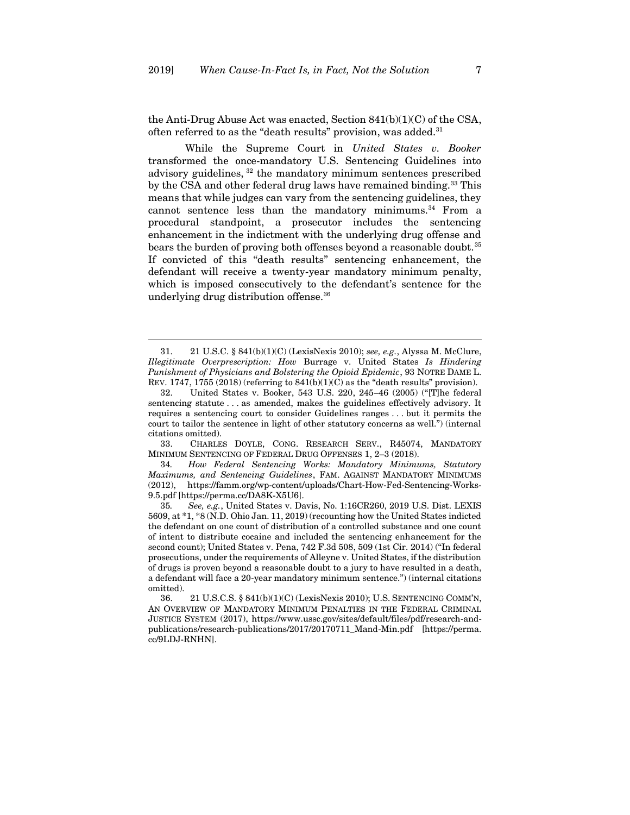<span id="page-6-0"></span>the Anti-Drug Abuse Act was enacted, Section 841(b)(1)(C) of the CSA, often referred to as the "death results" provision, was added.<sup>31</sup>

While the Supreme Court in *United States v. Booker* transformed the once-mandatory U.S. Sentencing Guidelines into advisory guidelines, <sup>32</sup> the mandatory minimum sentences prescribed by the CSA and other federal drug laws have remained binding.<sup>33</sup> This means that while judges can vary from the sentencing guidelines, they cannot sentence less than the mandatory minimums. $34$  From a procedural standpoint, a prosecutor includes the sentencing enhancement in the indictment with the underlying drug offense and bears the burden of proving both offenses beyond a reasonable doubt.<sup>35</sup> If convicted of this "death results" sentencing enhancement, the defendant will receive a twenty-year mandatory minimum penalty, which is imposed consecutively to the defendant's sentence for the underlying drug distribution offense.<sup>36</sup>

33. CHARLES DOYLE, CONG. RESEARCH SERV., R45074, MANDATORY MINIMUM SENTENCING OF FEDERAL DRUG OFFENSES 1, 2–3 (2018).

34*. How Federal Sentencing Works: Mandatory Minimums, Statutory Maximums, and Sentencing Guidelines*, FAM. AGAINST MANDATORY MINIMUMS (2012), https://famm.org/wp-content/uploads/Chart-How-Fed-Sentencing-Works-9.5.pdf [https://perma.cc/DA8K-X5U6].

35*. See, e.g.*, United States v. Davis, No. 1:16CR260, 2019 U.S. Dist. LEXIS 5609, at \*1, \*8 (N.D. Ohio Jan. 11, 2019) (recounting how the United States indicted the defendant on one count of distribution of a controlled substance and one count of intent to distribute cocaine and included the sentencing enhancement for the second count); United States v. Pena, 742 F.3d 508, 509 (1st Cir. 2014) ("In federal prosecutions, under the requirements of Alleyne v. United States, if the distribution of drugs is proven beyond a reasonable doubt to a jury to have resulted in a death, a defendant will face a 20-year mandatory minimum sentence.") (internal citations omitted).

36. 21 U.S.C.S. § 841(b)(1)(C) (LexisNexis 2010); U.S. SENTENCING COMM'N, AN OVERVIEW OF MANDATORY MINIMUM PENALTIES IN THE FEDERAL CRIMINAL JUSTICE SYSTEM (2017), https://www.ussc.gov/sites/default/files/pdf/research-andpublications/research-publications/2017/20170711\_Mand-Min.pdf [https://perma. cc/9LDJ-RNHN].

<sup>31.</sup> 21 U.S.C. § 841(b)(1)(C) (LexisNexis 2010); *see, e.g.*, Alyssa M. McClure, *Illegitimate Overprescription: How* Burrage v. United States *Is Hindering Punishment of Physicians and Bolstering the Opioid Epidemic*, 93 NOTRE DAME L. REV. 1747, 1755 (2018) (referring to  $841(b)(1)(C)$  as the "death results" provision).

<sup>32.</sup> United States v. Booker, 543 U.S. 220, 245–46 (2005) ("[T]he federal sentencing statute . . . as amended, makes the guidelines effectively advisory. It requires a sentencing court to consider Guidelines ranges . . . but it permits the court to tailor the sentence in light of other statutory concerns as well.") (internal citations omitted).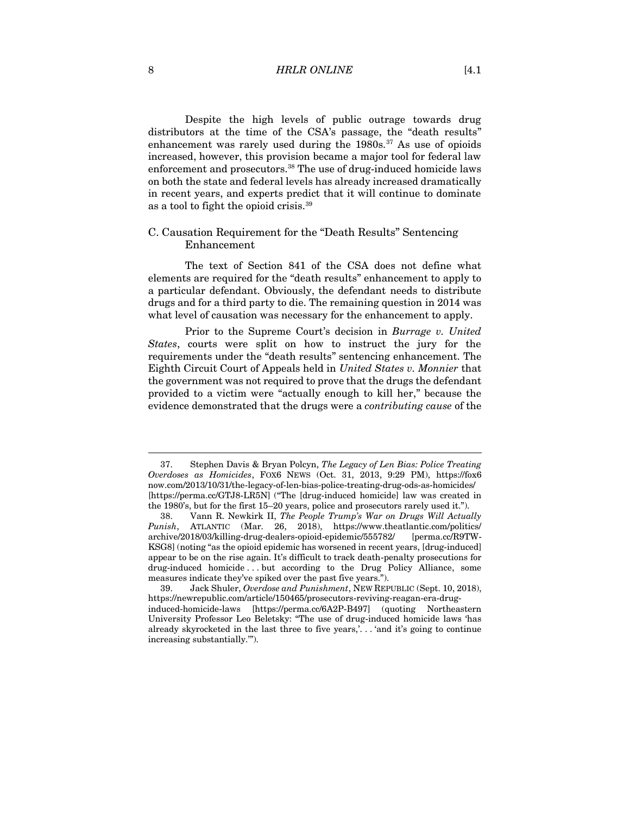8 **HRLR ONLINE** [4.1]

Despite the high levels of public outrage towards drug distributors at the time of the CSA's passage, the "death results" enhancement was rarely used during the 1980s.<sup>37</sup> As use of opioids increased, however, this provision became a major tool for federal law enforcement and prosecutors.<sup>38</sup> The use of drug-induced homicide laws on both the state and federal levels has already increased dramatically in recent years, and experts predict that it will continue to dominate as a tool to fight the opioid crisis.<sup>39</sup>

# <span id="page-7-0"></span>C. Causation Requirement for the "Death Results" Sentencing Enhancement

The text of Section 841 of the CSA does not define what elements are required for the "death results" enhancement to apply to a particular defendant. Obviously, the defendant needs to distribute drugs and for a third party to die. The remaining question in 2014 was what level of causation was necessary for the enhancement to apply.

Prior to the Supreme Court's decision in *Burrage v. United States*, courts were split on how to instruct the jury for the requirements under the "death results" sentencing enhancement. The Eighth Circuit Court of Appeals held in *United States v. Monnier* that the government was not required to prove that the drugs the defendant provided to a victim were "actually enough to kill her," because the evidence demonstrated that the drugs were a *contributing cause* of the

<sup>37.</sup> Stephen Davis & Bryan Polcyn, *The Legacy of Len Bias: Police Treating Overdoses as Homicides*, FOX6 NEWS (Oct. 31, 2013, 9:29 PM), https://fox6 now.com/2013/10/31/the-legacy-of-len-bias-police-treating-drug-ods-as-homicides/ [https://perma.cc/GTJ8-LR5N] ("The [drug-induced homicide] law was created in the 1980's, but for the first 15–20 years, police and prosecutors rarely used it.").

<sup>38.</sup> Vann R. Newkirk II, *The People Trump's War on Drugs Will Actually Punish*, ATLANTIC (Mar. 26, 2018), https://www.theatlantic.com/politics/ archive/2018/03/killing-drug-dealers-opioid-epidemic/555782/ [perma.cc/R9TW-KSG8] (noting "as the opioid epidemic has worsened in recent years, [drug-induced] appear to be on the rise again. It's difficult to track death-penalty prosecutions for drug-induced homicide . . . but according to the Drug Policy Alliance, some measures indicate they've spiked over the past five years.").

<sup>39.</sup> Jack Shuler, *Overdose and Punishment*, NEW REPUBLIC (Sept. 10, 2018), https://newrepublic.com/article/150465/prosecutors-reviving-reagan-era-druginduced-homicide-laws [https://perma.cc/6A2P-B497] (quoting Northeastern University Professor Leo Beletsky: "The use of drug-induced homicide laws 'has already skyrocketed in the last three to five years,'. . . 'and it's going to continue increasing substantially.'").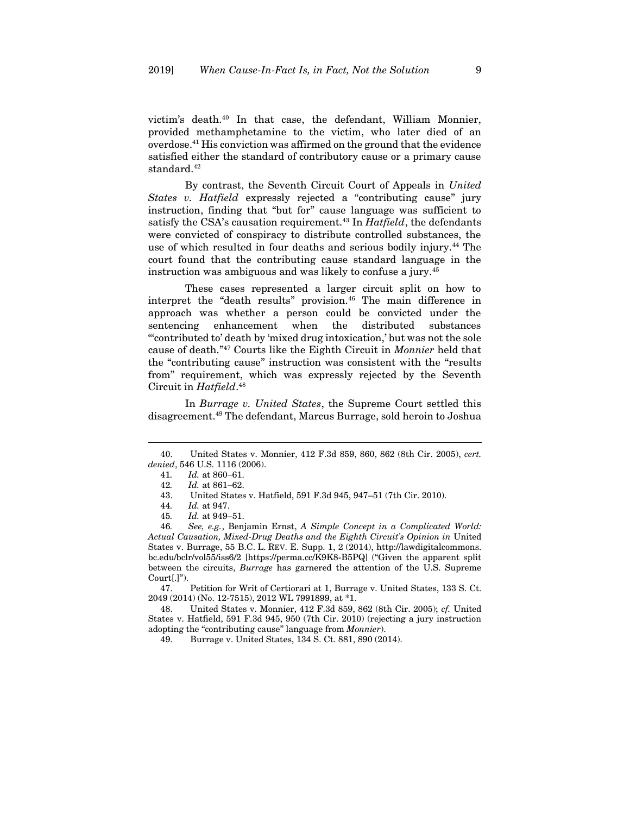victim's death.<sup>40</sup> In that case, the defendant, William Monnier, provided methamphetamine to the victim, who later died of an overdose.<sup>41</sup> His conviction was affirmed on the ground that the evidence satisfied either the standard of contributory cause or a primary cause standard.<sup>42</sup>

By contrast, the Seventh Circuit Court of Appeals in *United States v. Hatfield* expressly rejected a "contributing cause" jury instruction, finding that "but for" cause language was sufficient to satisfy the CSA's causation requirement.<sup>43</sup> In *Hatfield*, the defendants were convicted of conspiracy to distribute controlled substances, the use of which resulted in four deaths and serious bodily injury.<sup>44</sup> The court found that the contributing cause standard language in the instruction was ambiguous and was likely to confuse a jury.<sup>45</sup>

These cases represented a larger circuit split on how to interpret the "death results" provision.<sup>46</sup> The main difference in approach was whether a person could be convicted under the sentencing enhancement when the distributed substances "'contributed to' death by 'mixed drug intoxication,' but was not the sole cause of death." <sup>47</sup> Courts like the Eighth Circuit in *Monnier* held that the "contributing cause" instruction was consistent with the "results from" requirement, which was expressly rejected by the Seventh Circuit in *Hatfield*. 48

In *Burrage v. United States*, the Supreme Court settled this disagreement.<sup>49</sup> The defendant, Marcus Burrage, sold heroin to Joshua

47. Petition for Writ of Certiorari at 1, Burrage v. United States, 133 S. Ct. 2049 (2014) (No. 12-7515), 2012 WL 7991899, at \*1.

48. United States v. Monnier, 412 F.3d 859, 862 (8th Cir. 2005); *cf.* United States v. Hatfield, 591 F.3d 945, 950 (7th Cir. 2010) (rejecting a jury instruction adopting the "contributing cause" language from *Monnier*).

49. Burrage v. United States, 134 S. Ct. 881, 890 (2014).

<sup>40.</sup> United States v. Monnier, 412 F.3d 859, 860, 862 (8th Cir. 2005), *cert. denied*, 546 U.S. 1116 (2006).

<sup>41</sup>*. Id.* at 860−61.

<sup>42</sup>*. Id.* at 861−62.

<sup>43.</sup> United States v. Hatfield, 591 F.3d 945, 947–51 (7th Cir. 2010).

<sup>44</sup>*. Id.* at 947.

<sup>45</sup>*. Id.* at 949–51.

<sup>46</sup>*. See, e.g.*, Benjamin Ernst, *A Simple Concept in a Complicated World: Actual Causation, Mixed-Drug Deaths and the Eighth Circuit's Opinion in* United States v. Burrage, 55 B.C. L. REV. E. Supp. 1, 2 (2014), http://lawdigitalcommons. bc.edu/bclr/vol55/iss6/2 [https://perma.cc/K9K8-B5PQ] ("Given the apparent split between the circuits, *Burrage* has garnered the attention of the U.S. Supreme  $Court[.]$ ").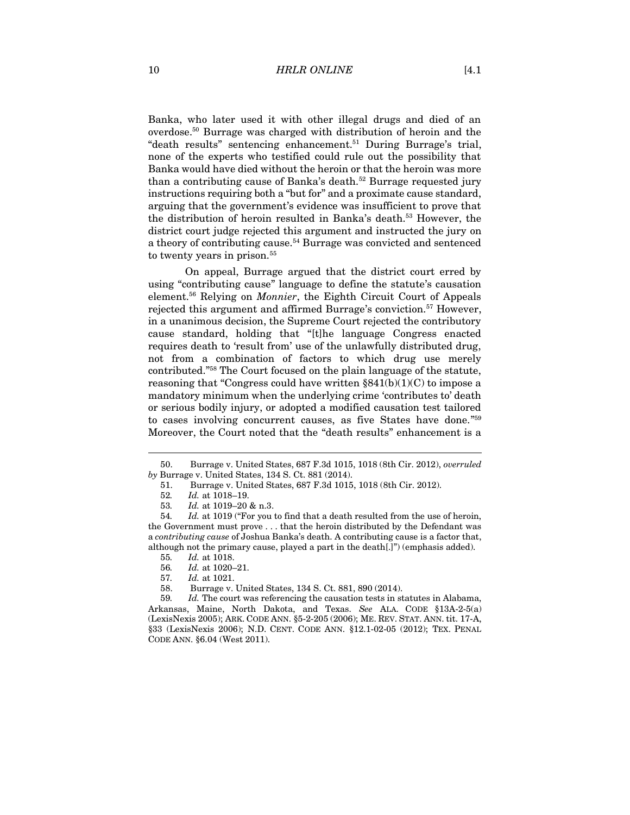Banka, who later used it with other illegal drugs and died of an overdose.<sup>50</sup> Burrage was charged with distribution of heroin and the "death results" sentencing enhancement.<sup>51</sup> During Burrage's trial, none of the experts who testified could rule out the possibility that Banka would have died without the heroin or that the heroin was more than a contributing cause of Banka's death.<sup>52</sup> Burrage requested jury instructions requiring both a "but for" and a proximate cause standard, arguing that the government's evidence was insufficient to prove that the distribution of heroin resulted in Banka's death.<sup>53</sup> However, the district court judge rejected this argument and instructed the jury on a theory of contributing cause.<sup>54</sup> Burrage was convicted and sentenced to twenty years in prison.<sup>55</sup>

On appeal, Burrage argued that the district court erred by using "contributing cause" language to define the statute's causation element.<sup>56</sup> Relying on *Monnier*, the Eighth Circuit Court of Appeals rejected this argument and affirmed Burrage's conviction.<sup>57</sup> However, in a unanimous decision, the Supreme Court rejected the contributory cause standard, holding that "[t]he language Congress enacted requires death to 'result from' use of the unlawfully distributed drug, not from a combination of factors to which drug use merely contributed." <sup>58</sup> The Court focused on the plain language of the statute, reasoning that "Congress could have written  $$841(b)(1)(C)$  to impose a mandatory minimum when the underlying crime 'contributes to' death or serious bodily injury, or adopted a modified causation test tailored to cases involving concurrent causes, as five States have done."<sup>59</sup> Moreover, the Court noted that the "death results" enhancement is a

<sup>50.</sup> Burrage v. United States, 687 F.3d 1015, 1018 (8th Cir. 2012), *overruled by* Burrage v. United States, 134 S. Ct. 881 (2014).

<sup>51.</sup> Burrage v. United States, 687 F.3d 1015, 1018 (8th Cir. 2012).

<sup>52</sup>*. Id.* at 1018–19.

<sup>53</sup>*. Id.* at 1019–20 & n.3.

<sup>54</sup>*. Id.* at 1019 ("For you to find that a death resulted from the use of heroin, the Government must prove . . . that the heroin distributed by the Defendant was a *contributing cause* of Joshua Banka's death. A contributing cause is a factor that, although not the primary cause, played a part in the death[.]") (emphasis added).

<sup>55</sup>*. Id.* at 1018.

<sup>56</sup>*. Id.* at 1020–21.

<sup>57</sup>*. Id.* at 1021.

<sup>58.</sup> Burrage v. United States, 134 S. Ct. 881, 890 (2014).

<sup>59</sup>*. Id.* The court was referencing the causation tests in statutes in Alabama, Arkansas, Maine, North Dakota, and Texas. *See* ALA. CODE §13A-2-5(a) (LexisNexis 2005); ARK. CODE ANN. §5-2-205 (2006); ME. REV. STAT. ANN. tit. 17-A, §33 (LexisNexis 2006); N.D. CENT. CODE ANN. §12.1-02-05 (2012); TEX. PENAL CODE ANN. §6.04 (West 2011).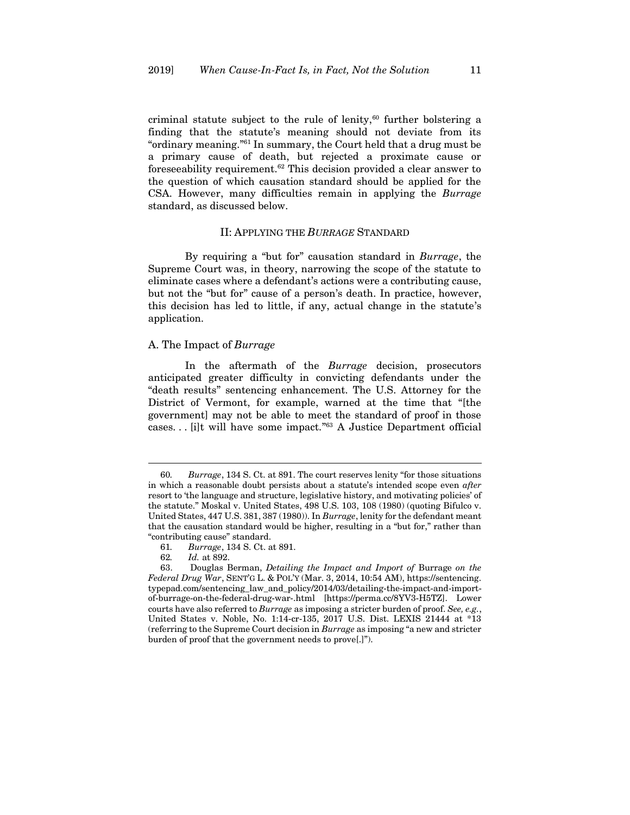criminal statute subject to the rule of lenity, $60$  further bolstering a finding that the statute's meaning should not deviate from its "ordinary meaning." <sup>61</sup> In summary, the Court held that a drug must be a primary cause of death, but rejected a proximate cause or foreseeability requirement.<sup>62</sup> This decision provided a clear answer to the question of which causation standard should be applied for the CSA. However, many difficulties remain in applying the *Burrage* standard, as discussed below.

# II: APPLYING THE *BURRAGE* STANDARD

<span id="page-10-0"></span>By requiring a "but for" causation standard in *Burrage*, the Supreme Court was, in theory, narrowing the scope of the statute to eliminate cases where a defendant's actions were a contributing cause, but not the "but for" cause of a person's death. In practice, however, this decision has led to little, if any, actual change in the statute's application.

# <span id="page-10-1"></span>A. The Impact of *Burrage*

In the aftermath of the *Burrage* decision, prosecutors anticipated greater difficulty in convicting defendants under the "death results" sentencing enhancement. The U.S. Attorney for the District of Vermont, for example, warned at the time that "[the government] may not be able to meet the standard of proof in those cases. . . [i]t will have some impact." <sup>63</sup> A Justice Department official

<span id="page-10-2"></span><sup>60</sup>*. Burrage*, 134 S. Ct. at 891. The court reserves lenity "for those situations in which a reasonable doubt persists about a statute's intended scope even *after* resort to 'the language and structure, legislative history, and motivating policies' of the statute." Moskal v. United States, 498 U.S. 103, 108 (1980) (quoting Bifulco v. United States, 447 U.S. 381, 387 (1980)). In *Burrage*, lenity for the defendant meant that the causation standard would be higher, resulting in a "but for," rather than "contributing cause" standard.

<sup>61</sup>*. Burrage*, 134 S. Ct. at 891.

<sup>62</sup>*. Id.* at 892.

<sup>63.</sup> Douglas Berman, *Detailing the Impact and Import of* Burrage *on the Federal Drug War*, SENT'G L. & POL'Y (Mar. 3, 2014, 10:54 AM), https://sentencing. typepad.com/sentencing\_law\_and\_policy/2014/03/detailing-the-impact-and-importof-burrage-on-the-federal-drug-war-.html [https://perma.cc/8YV3-H5TZ]. Lower courts have also referred to *Burrage* as imposing a stricter burden of proof. *See, e.g.*, United States v. Noble, No. 1:14-cr-135, 2017 U.S. Dist. LEXIS 21444 at \*13 (referring to the Supreme Court decision in *Burrage* as imposing "a new and stricter burden of proof that the government needs to prove[.]").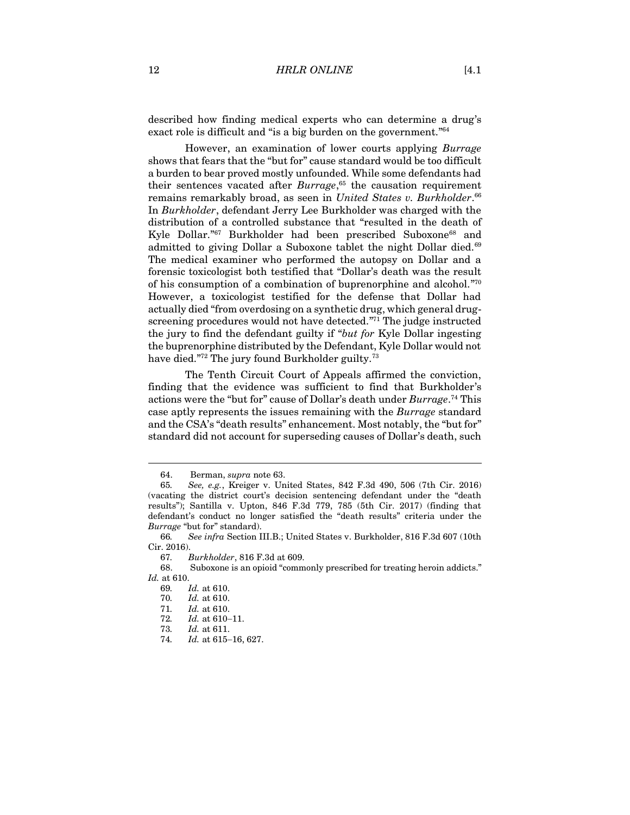described how finding medical experts who can determine a drug's exact role is difficult and "is a big burden on the government."<sup>64</sup>

<span id="page-11-0"></span>However, an examination of lower courts applying *Burrage* shows that fears that the "but for" cause standard would be too difficult a burden to bear proved mostly unfounded. While some defendants had their sentences vacated after *Burrage*, <sup>65</sup> the causation requirement remains remarkably broad, as seen in *United States v. Burkholder*. 66 In *Burkholder*, defendant Jerry Lee Burkholder was charged with the distribution of a controlled substance that "resulted in the death of Kyle Dollar."<sup>67</sup> Burkholder had been prescribed Suboxone<sup>68</sup> and admitted to giving Dollar a Suboxone tablet the night Dollar died.<sup>69</sup> The medical examiner who performed the autopsy on Dollar and a forensic toxicologist both testified that "Dollar's death was the result of his consumption of a combination of buprenorphine and alcohol."<sup>70</sup> However, a toxicologist testified for the defense that Dollar had actually died "from overdosing on a synthetic drug, which general drugscreening procedures would not have detected."<sup>71</sup> The judge instructed the jury to find the defendant guilty if "*but for* Kyle Dollar ingesting the buprenorphine distributed by the Defendant, Kyle Dollar would not have died."<sup>72</sup> The jury found Burkholder guilty.<sup>73</sup>

<span id="page-11-1"></span>The Tenth Circuit Court of Appeals affirmed the conviction, finding that the evidence was sufficient to find that Burkholder's actions were the "but for" cause of Dollar's death under *Burrage*. <sup>74</sup> This case aptly represents the issues remaining with the *Burrage* standard and the CSA's "death results" enhancement. Most notably, the "but for" standard did not account for superseding causes of Dollar's death, such

<sup>64.</sup> Berman, *supra* not[e 63.](#page-10-2)

<sup>65</sup>*. See, e.g.*, Kreiger v. United States, 842 F.3d 490, 506 (7th Cir. 2016) (vacating the district court's decision sentencing defendant under the "death results"); Santilla v. Upton, 846 F.3d 779, 785 (5th Cir. 2017) (finding that defendant's conduct no longer satisfied the "death results" criteria under the *Burrage* "but for" standard).

<sup>66</sup>*. See infra* Section III.B.; United States v. Burkholder, 816 F.3d 607 (10th Cir. 2016).

<sup>67</sup>*. Burkholder*, 816 F.3d at 609.

<sup>68.</sup> Suboxone is an opioid "commonly prescribed for treating heroin addicts." *Id.* at 610.

<sup>69</sup>*. Id.* at 610.

<sup>70</sup>*. Id.* at 610.

<sup>71</sup>*. Id.* at 610.

<sup>72</sup>*. Id.* at 610−11.

<sup>73</sup>*. Id.* at 611.

<sup>74</sup>*. Id.* at 615−16, 627.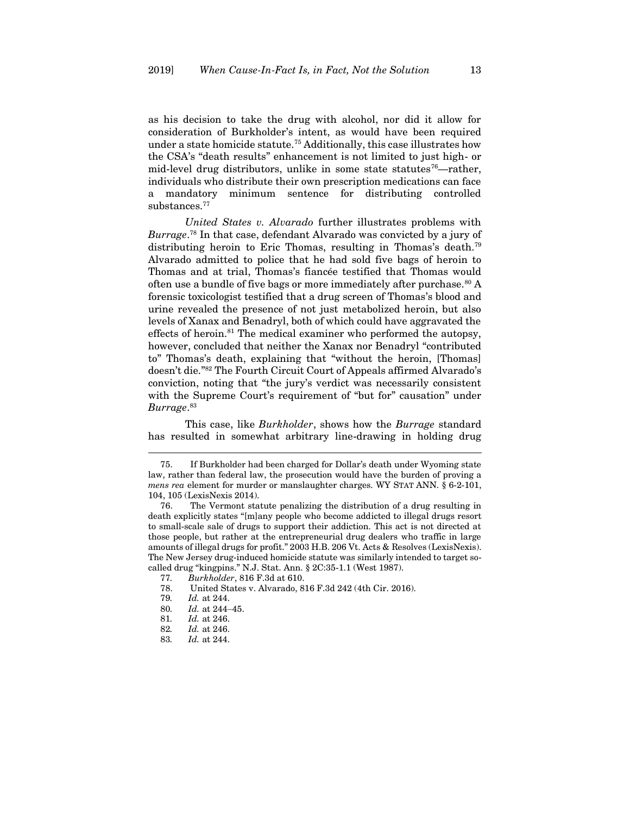as his decision to take the drug with alcohol, nor did it allow for consideration of Burkholder's intent, as would have been required under a state homicide statute.<sup>75</sup> Additionally, this case illustrates how the CSA's "death results" enhancement is not limited to just high- or mid-level drug distributors, unlike in some state statutes<sup>76</sup>—rather, individuals who distribute their own prescription medications can face a mandatory minimum sentence for distributing controlled substances.<sup>77</sup>

*United States v. Alvarado* further illustrates problems with *Burrage*. <sup>78</sup> In that case, defendant Alvarado was convicted by a jury of distributing heroin to Eric Thomas, resulting in Thomas's death.<sup>79</sup> Alvarado admitted to police that he had sold five bags of heroin to Thomas and at trial, Thomas's fiancée testified that Thomas would often use a bundle of five bags or more immediately after purchase.  $80$  A forensic toxicologist testified that a drug screen of Thomas's blood and urine revealed the presence of not just metabolized heroin, but also levels of Xanax and Benadryl, both of which could have aggravated the effects of heroin. $81$  The medical examiner who performed the autopsy, however, concluded that neither the Xanax nor Benadryl "contributed to" Thomas's death, explaining that "without the heroin, [Thomas] doesn't die." <sup>82</sup> The Fourth Circuit Court of Appeals affirmed Alvarado's conviction, noting that "the jury's verdict was necessarily consistent with the Supreme Court's requirement of "but for" causation" under *Burrage*. 83

This case, like *Burkholder*, shows how the *Burrage* standard has resulted in somewhat arbitrary line-drawing in holding drug

<sup>75.</sup> If Burkholder had been charged for Dollar's death under Wyoming state law, rather than federal law, the prosecution would have the burden of proving a *mens rea* element for murder or manslaughter charges. WY STAT ANN. § 6-2-101, 104, 105 (LexisNexis 2014).

<sup>76.</sup> The Vermont statute penalizing the distribution of a drug resulting in death explicitly states "[m]any people who become addicted to illegal drugs resort to small-scale sale of drugs to support their addiction. This act is not directed at those people, but rather at the entrepreneurial drug dealers who traffic in large amounts of illegal drugs for profit." 2003 H.B. 206 Vt. Acts & Resolves (LexisNexis). The New Jersey drug-induced homicide statute was similarly intended to target socalled drug "kingpins." N.J. Stat. Ann. § 2C:35-1.1 (West 1987).

<sup>77</sup>*. Burkholder*, 816 F.3d at 610.

<sup>78.</sup> United States v. Alvarado, 816 F.3d 242 (4th Cir. 2016).

<sup>79</sup>*. Id.* at 244.

<sup>80</sup>*. Id.* at 244−45.

<sup>81</sup>*. Id.* at 246.

<sup>82</sup>*. Id.* at 246.

<sup>83</sup>*. Id.* at 244.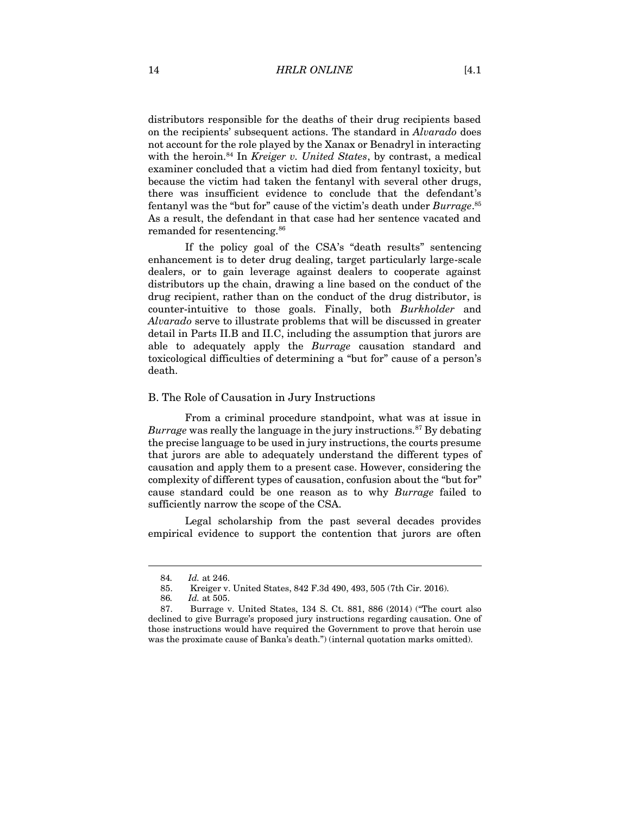distributors responsible for the deaths of their drug recipients based on the recipients' subsequent actions. The standard in *Alvarado* does not account for the role played by the Xanax or Benadryl in interacting with the heroin.<sup>84</sup> In *Kreiger v. United States*, by contrast, a medical examiner concluded that a victim had died from fentanyl toxicity, but because the victim had taken the fentanyl with several other drugs, there was insufficient evidence to conclude that the defendant's fentanyl was the "but for" cause of the victim's death under *Burrage*. 85 As a result, the defendant in that case had her sentence vacated and remanded for resentencing.<sup>86</sup>

If the policy goal of the CSA's "death results" sentencing enhancement is to deter drug dealing, target particularly large-scale dealers, or to gain leverage against dealers to cooperate against distributors up the chain, drawing a line based on the conduct of the drug recipient, rather than on the conduct of the drug distributor, is counter-intuitive to those goals. Finally, both *Burkholder* and *Alvarado* serve to illustrate problems that will be discussed in greater detail in Parts II.B and II.C, including the assumption that jurors are able to adequately apply the *Burrage* causation standard and toxicological difficulties of determining a "but for" cause of a person's death.

#### <span id="page-13-0"></span>B. The Role of Causation in Jury Instructions

From a criminal procedure standpoint, what was at issue in *Burrage* was really the language in the jury instructions.<sup>87</sup> By debating the precise language to be used in jury instructions, the courts presume that jurors are able to adequately understand the different types of causation and apply them to a present case. However, considering the complexity of different types of causation, confusion about the "but for" cause standard could be one reason as to why *Burrage* failed to sufficiently narrow the scope of the CSA.

Legal scholarship from the past several decades provides empirical evidence to support the contention that jurors are often

<sup>84</sup>*. Id.* at 246.

<sup>85.</sup> Kreiger v. United States, 842 F.3d 490, 493, 505 (7th Cir. 2016).

<sup>86</sup>*. Id.* at 505.

<sup>87.</sup> Burrage v. United States, 134 S. Ct. 881, 886 (2014) ("The court also declined to give Burrage's proposed jury instructions regarding causation. One of those instructions would have required the Government to prove that heroin use was the proximate cause of Banka's death.") (internal quotation marks omitted).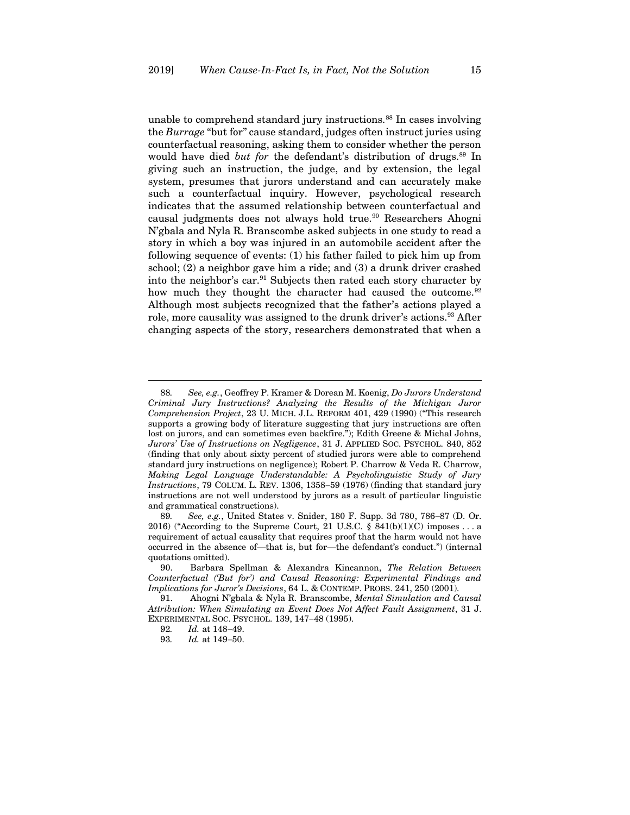unable to comprehend standard jury instructions.<sup>88</sup> In cases involving the *Burrage* "but for" cause standard, judges often instruct juries using counterfactual reasoning, asking them to consider whether the person would have died *but for* the defendant's distribution of drugs.<sup>89</sup> In giving such an instruction, the judge, and by extension, the legal system, presumes that jurors understand and can accurately make such a counterfactual inquiry. However, psychological research indicates that the assumed relationship between counterfactual and causal judgments does not always hold true.<sup>90</sup> Researchers Ahogni N'gbala and Nyla R. Branscombe asked subjects in one study to read a story in which a boy was injured in an automobile accident after the following sequence of events: (1) his father failed to pick him up from school; (2) a neighbor gave him a ride; and (3) a drunk driver crashed into the neighbor's car.<sup>91</sup> Subjects then rated each story character by how much they thought the character had caused the outcome.<sup>92</sup> Although most subjects recognized that the father's actions played a role, more causality was assigned to the drunk driver's actions.<sup>93</sup> After changing aspects of the story, researchers demonstrated that when a

<span id="page-14-0"></span><sup>88</sup>*. See, e.g.*, Geoffrey P. Kramer & Dorean M. Koenig, *Do Jurors Understand Criminal Jury Instructions? Analyzing the Results of the Michigan Juror Comprehension Project*, 23 U. MICH. J.L. REFORM 401, 429 (1990) ("This research supports a growing body of literature suggesting that jury instructions are often lost on jurors, and can sometimes even backfire."); Edith Greene & Michal Johns, *Jurors' Use of Instructions on Negligence*, 31 J. APPLIED SOC. PSYCHOL. 840, 852 (finding that only about sixty percent of studied jurors were able to comprehend standard jury instructions on negligence); Robert P. Charrow & Veda R. Charrow, *Making Legal Language Understandable: A Psycholinguistic Study of Jury Instructions*, 79 COLUM. L. REV. 1306, 1358−59 (1976) (finding that standard jury instructions are not well understood by jurors as a result of particular linguistic and grammatical constructions).

<sup>89</sup>*. See, e.g.*, United States v. Snider, 180 F. Supp. 3d 780, 786−87 (D. Or. 2016) ("According to the Supreme Court, 21 U.S.C. § 841(b)(1)(C) imposes ... a requirement of actual causality that requires proof that the harm would not have occurred in the absence of—that is, but for—the defendant's conduct.") (internal quotations omitted).

<sup>90.</sup> Barbara Spellman & Alexandra Kincannon, *The Relation Between Counterfactual ('But for') and Causal Reasoning: Experimental Findings and Implications for Juror's Decisions*, 64 L. & CONTEMP. PROBS. 241, 250 (2001).

<sup>91.</sup> Ahogni N'gbala & Nyla R. Branscombe, *Mental Simulation and Causal Attribution: When Simulating an Event Does Not Affect Fault Assignment*, 31 J. EXPERIMENTAL SOC. PSYCHOL. 139, 147−48 (1995).

<sup>92</sup>*. Id.* at 148−49.

<sup>93</sup>*. Id.* at 149−50.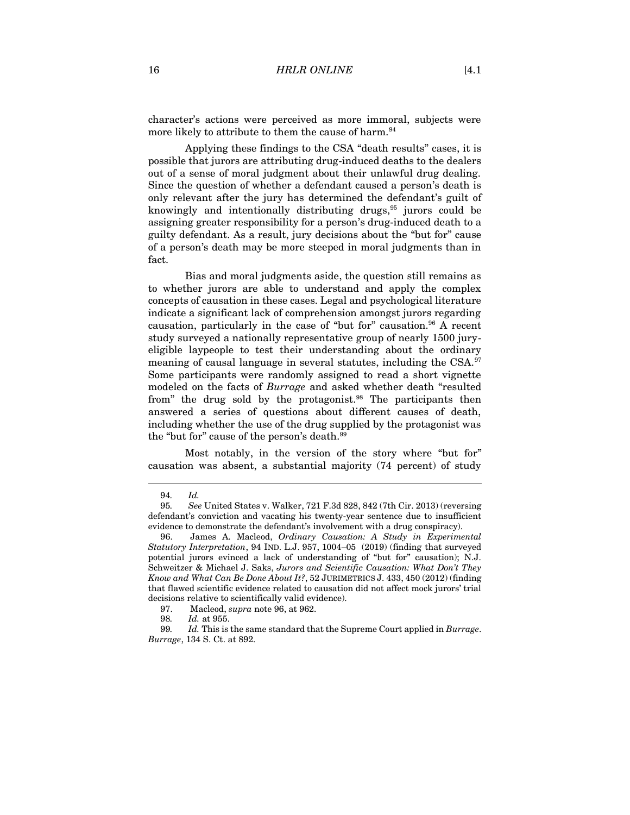character's actions were perceived as more immoral, subjects were more likely to attribute to them the cause of harm.<sup>94</sup>

Applying these findings to the CSA "death results" cases, it is possible that jurors are attributing drug-induced deaths to the dealers out of a sense of moral judgment about their unlawful drug dealing. Since the question of whether a defendant caused a person's death is only relevant after the jury has determined the defendant's guilt of knowingly and intentionally distributing drugs,<sup>95</sup> jurors could be assigning greater responsibility for a person's drug-induced death to a guilty defendant. As a result, jury decisions about the "but for" cause of a person's death may be more steeped in moral judgments than in fact.

<span id="page-15-0"></span>Bias and moral judgments aside, the question still remains as to whether jurors are able to understand and apply the complex concepts of causation in these cases. Legal and psychological literature indicate a significant lack of comprehension amongst jurors regarding causation, particularly in the case of "but for" causation.<sup>96</sup> A recent study surveyed a nationally representative group of nearly 1500 juryeligible laypeople to test their understanding about the ordinary meaning of causal language in several statutes, including the CSA.<sup>97</sup> Some participants were randomly assigned to read a short vignette modeled on the facts of *Burrage* and asked whether death "resulted from" the drug sold by the protagonist.<sup>98</sup> The participants then answered a series of questions about different causes of death, including whether the use of the drug supplied by the protagonist was the "but for" cause of the person's death.<sup>99</sup>

Most notably, in the version of the story where "but for" causation was absent, a substantial majority (74 percent) of study

<sup>94</sup>*. Id.*

<sup>95</sup>*. See* United States v. Walker, 721 F.3d 828, 842 (7th Cir. 2013) (reversing defendant's conviction and vacating his twenty-year sentence due to insufficient evidence to demonstrate the defendant's involvement with a drug conspiracy).

<sup>96.</sup> James A. Macleod, *Ordinary Causation: A Study in Experimental Statutory Interpretation*, 94 IND. L.J. 957, 1004–05 (2019) (finding that surveyed potential jurors evinced a lack of understanding of "but for" causation); N.J. Schweitzer & Michael J. Saks, *Jurors and Scientific Causation: What Don't They Know and What Can Be Done About It?*, 52 JURIMETRICS J. 433, 450 (2012) (finding that flawed scientific evidence related to causation did not affect mock jurors' trial decisions relative to scientifically valid evidence).

<sup>97.</sup> Macleod, *supra* not[e 96,](#page-15-0) at 962.

<sup>98</sup>*. Id.* at 955.

<sup>99</sup>*. Id.* This is the same standard that the Supreme Court applied in *Burrage*. *Burrage*, 134 S. Ct. at 892.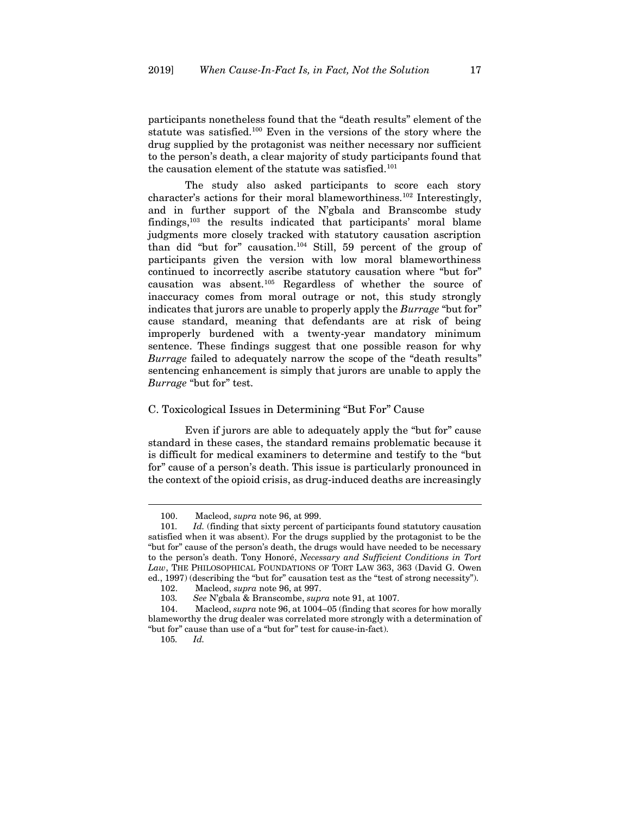participants nonetheless found that the "death results" element of the statute was satisfied.<sup>100</sup> Even in the versions of the story where the drug supplied by the protagonist was neither necessary nor sufficient to the person's death, a clear majority of study participants found that the causation element of the statute was satisfied.<sup>101</sup>

The study also asked participants to score each story character's actions for their moral blameworthiness.<sup>102</sup> Interestingly, and in further support of the N'gbala and Branscombe study findings,<sup>103</sup> the results indicated that participants' moral blame judgments more closely tracked with statutory causation ascription than did "but for" causation.<sup>104</sup> Still, 59 percent of the group of participants given the version with low moral blameworthiness continued to incorrectly ascribe statutory causation where "but for" causation was absent.<sup>105</sup> Regardless of whether the source of inaccuracy comes from moral outrage or not, this study strongly indicates that jurors are unable to properly apply the *Burrage* "but for" cause standard, meaning that defendants are at risk of being improperly burdened with a twenty-year mandatory minimum sentence. These findings suggest that one possible reason for why *Burrage* failed to adequately narrow the scope of the "death results" sentencing enhancement is simply that jurors are unable to apply the *Burrage* "but for" test.

# <span id="page-16-0"></span>C. Toxicological Issues in Determining "But For" Cause

Even if jurors are able to adequately apply the "but for" cause standard in these cases, the standard remains problematic because it is difficult for medical examiners to determine and testify to the "but for" cause of a person's death. This issue is particularly pronounced in the context of the opioid crisis, as drug-induced deaths are increasingly

<sup>100.</sup> Macleod, *supra* not[e 96,](#page-15-0) at 999.

<sup>101</sup>*. Id.* (finding that sixty percent of participants found statutory causation satisfied when it was absent). For the drugs supplied by the protagonist to be the "but for" cause of the person's death, the drugs would have needed to be necessary to the person's death. Tony Honoré, *Necessary and Sufficient Conditions in Tort Law*, THE PHILOSOPHICAL FOUNDATIONS OF TORT LAW 363, 363 (David G. Owen ed., 1997) (describing the "but for" causation test as the "test of strong necessity").

<sup>102.</sup> Macleod, *supra* not[e 96,](#page-15-0) at 997.

<sup>103</sup>*. See* N'gbala & Branscombe, *supra* not[e 91,](#page-14-0) at 1007.

<sup>104.</sup> Macleod, *supra* not[e 96,](#page-15-0) at 1004–05 (finding that scores for how morally blameworthy the drug dealer was correlated more strongly with a determination of "but for" cause than use of a "but for" test for cause-in-fact).

<sup>105</sup>*. Id.*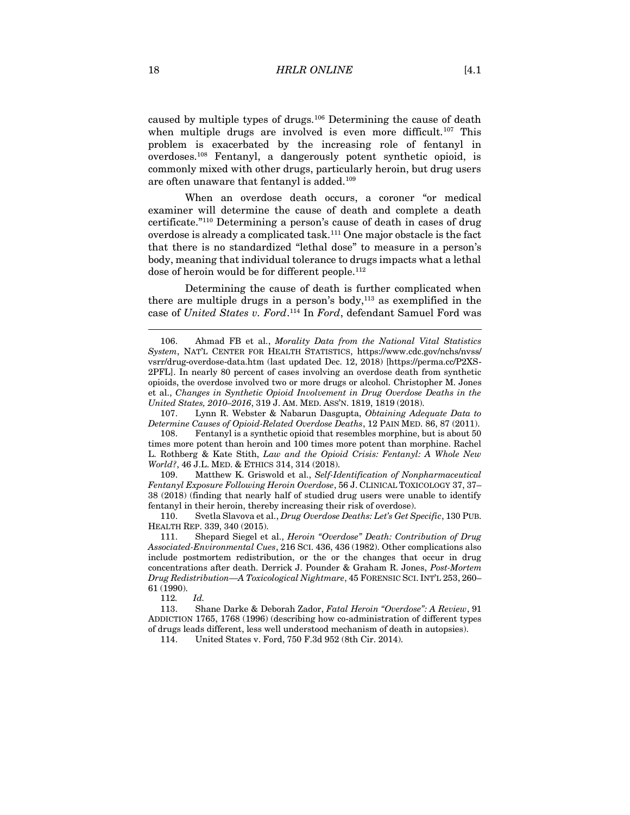<span id="page-17-0"></span>caused by multiple types of drugs.<sup>106</sup> Determining the cause of death when multiple drugs are involved is even more difficult.<sup>107</sup> This problem is exacerbated by the increasing role of fentanyl in overdoses.<sup>108</sup> Fentanyl, a dangerously potent synthetic opioid, is commonly mixed with other drugs, particularly heroin, but drug users are often unaware that fentanyl is added.<sup>109</sup>

When an overdose death occurs, a coroner "or medical examiner will determine the cause of death and complete a death certificate." <sup>110</sup> Determining a person's cause of death in cases of drug overdose is already a complicated task.<sup>111</sup> One major obstacle is the fact that there is no standardized "lethal dose" to measure in a person's body, meaning that individual tolerance to drugs impacts what a lethal dose of heroin would be for different people.<sup>112</sup>

Determining the cause of death is further complicated when there are multiple drugs in a person's body, $113$  as exemplified in the case of *United States v. Ford*. <sup>114</sup> In *Ford*, defendant Samuel Ford was

107. Lynn R. Webster & Nabarun Dasgupta, *Obtaining Adequate Data to Determine Causes of Opioid-Related Overdose Deaths*, 12 PAIN MED. 86, 87 (2011).

108. Fentanyl is a synthetic opioid that resembles morphine, but is about 50 times more potent than heroin and 100 times more potent than morphine. Rachel L. Rothberg & Kate Stith, *Law and the Opioid Crisis: Fentanyl: A Whole New World?*, 46 J.L. MED. & ETHICS 314, 314 (2018).

109. Matthew K. Griswold et al., *Self-Identification of Nonpharmaceutical Fentanyl Exposure Following Heroin Overdose*, 56 J. CLINICAL TOXICOLOGY 37, 37– 38 (2018) (finding that nearly half of studied drug users were unable to identify fentanyl in their heroin, thereby increasing their risk of overdose).

110. Svetla Slavova et al., *Drug Overdose Deaths: Let's Get Specific*, 130 PUB. HEALTH REP. 339, 340 (2015).

111. Shepard Siegel et al., *Heroin "Overdose" Death: Contribution of Drug Associated-Environmental Cues*, 216 SCI. 436, 436 (1982). Other complications also include postmortem redistribution, or the or the changes that occur in drug concentrations after death. Derrick J. Pounder & Graham R. Jones, *Post-Mortem Drug Redistribution—A Toxicological Nightmare*, 45 FORENSIC SCI. INT'L 253, 260– 61 (1990).

112*. Id.*

113. Shane Darke & Deborah Zador, *Fatal Heroin "Overdose": A Review*, 91 ADDICTION 1765, 1768 (1996) (describing how co-administration of different types of drugs leads different, less well understood mechanism of death in autopsies).

114. United States v. Ford, 750 F.3d 952 (8th Cir. 2014).

<sup>106.</sup> Ahmad FB et al., *Morality Data from the National Vital Statistics System*, NAT'L CENTER FOR HEALTH STATISTICS, https://www.cdc.gov/nchs/nvss/ vsrr/drug-overdose-data.htm (last updated Dec. 12, 2018) [https://perma.cc/P2XS-2PFL]. In nearly 80 percent of cases involving an overdose death from synthetic opioids, the overdose involved two or more drugs or alcohol. Christopher M. Jones et al., *Changes in Synthetic Opioid Involvement in Drug Overdose Deaths in the United States, 2010–2016*, 319 J. AM. MED. ASS'N. 1819, 1819 (2018).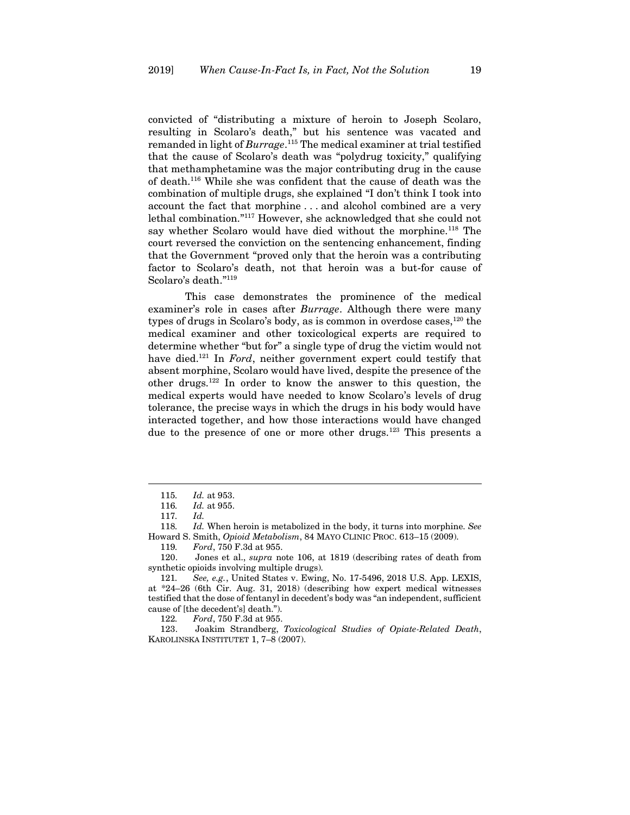convicted of "distributing a mixture of heroin to Joseph Scolaro, resulting in Scolaro's death," but his sentence was vacated and remanded in light of *Burrage*. <sup>115</sup> The medical examiner at trial testified that the cause of Scolaro's death was "polydrug toxicity," qualifying that methamphetamine was the major contributing drug in the cause of death.<sup>116</sup> While she was confident that the cause of death was the combination of multiple drugs, she explained "I don't think I took into account the fact that morphine . . . and alcohol combined are a very lethal combination." <sup>117</sup> However, she acknowledged that she could not say whether Scolaro would have died without the morphine.<sup>118</sup> The court reversed the conviction on the sentencing enhancement, finding that the Government "proved only that the heroin was a contributing factor to Scolaro's death, not that heroin was a but-for cause of Scolaro's death." 119

This case demonstrates the prominence of the medical examiner's role in cases after *Burrage*. Although there were many types of drugs in Scolaro's body, as is common in overdose cases,<sup>120</sup> the medical examiner and other toxicological experts are required to determine whether "but for" a single type of drug the victim would not have died.<sup>121</sup> In *Ford*, neither government expert could testify that absent morphine, Scolaro would have lived, despite the presence of the other drugs.<sup>122</sup> In order to know the answer to this question, the medical experts would have needed to know Scolaro's levels of drug tolerance, the precise ways in which the drugs in his body would have interacted together, and how those interactions would have changed due to the presence of one or more other drugs.<sup>123</sup> This presents a

<sup>115</sup>*. Id.* at 953.

<sup>116</sup>*. Id.* at 955.

<sup>117</sup>*. Id.*

<sup>118</sup>*. Id.* When heroin is metabolized in the body, it turns into morphine. *See*  Howard S. Smith, *Opioid Metabolism*, 84 MAYO CLINIC PROC. 613–15 (2009).

<sup>119</sup>*. Ford*, 750 F.3d at 955.

<sup>120.</sup> Jones et al., *supra* note [106,](#page-17-0) at 1819 (describing rates of death from synthetic opioids involving multiple drugs).

<sup>121</sup>*. See, e.g.*, United States v. Ewing, No. 17-5496, 2018 U.S. App. LEXIS, at \*24–26 (6th Cir. Aug. 31, 2018) (describing how expert medical witnesses testified that the dose of fentanyl in decedent's body was "an independent, sufficient cause of [the decedent's] death.").

<sup>122</sup>*. Ford*, 750 F.3d at 955.

<sup>123.</sup> Joakim Strandberg, *Toxicological Studies of Opiate-Related Death*, KAROLINSKA INSTITUTET 1, 7–8 (2007).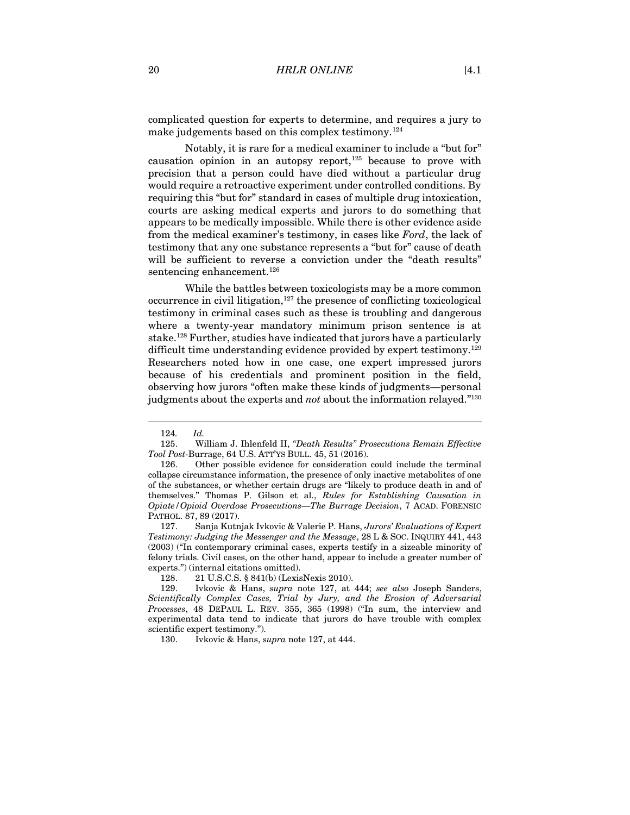complicated question for experts to determine, and requires a jury to make judgements based on this complex testimony.<sup>124</sup>

Notably, it is rare for a medical examiner to include a "but for" causation opinion in an autopsy report, $125$  because to prove with precision that a person could have died without a particular drug would require a retroactive experiment under controlled conditions. By requiring this "but for" standard in cases of multiple drug intoxication, courts are asking medical experts and jurors to do something that appears to be medically impossible. While there is other evidence aside from the medical examiner's testimony, in cases like *Ford*, the lack of testimony that any one substance represents a "but for" cause of death will be sufficient to reverse a conviction under the "death results" sentencing enhancement.<sup>126</sup>

<span id="page-19-0"></span>While the battles between toxicologists may be a more common  $occurrence in civil litigation, <sup>127</sup> the presence of conflicting toxicological$ testimony in criminal cases such as these is troubling and dangerous where a twenty-year mandatory minimum prison sentence is at stake.<sup>128</sup> Further, studies have indicated that jurors have a particularly difficult time understanding evidence provided by expert testimony.<sup>129</sup> Researchers noted how in one case, one expert impressed jurors because of his credentials and prominent position in the field, observing how jurors "often make these kinds of judgments—personal judgments about the experts and *not* about the information relayed." 130

128. 21 U.S.C.S. § 841(b) (LexisNexis 2010).

130. Ivkovic & Hans, *supra* not[e 127,](#page-19-0) at 444.

<sup>124</sup>*. Id.*

<sup>125.</sup> William J. Ihlenfeld II, *"Death Results" Prosecutions Remain Effective Tool Post-*Burrage, 64 U.S. ATT'YS BULL. 45, 51 (2016).

<sup>126.</sup> Other possible evidence for consideration could include the terminal collapse circumstance information, the presence of only inactive metabolites of one of the substances, or whether certain drugs are "likely to produce death in and of themselves." Thomas P. Gilson et al., *Rules for Establishing Causation in Opiate/Opioid Overdose Prosecutions—The Burrage Decision*, 7 ACAD. FORENSIC PATHOL. 87, 89 (2017).

<sup>127.</sup> Sanja Kutnjak Ivkovic & Valerie P. Hans, *Jurors' Evaluations of Expert Testimony: Judging the Messenger and the Message*, 28 L & SOC. INQUIRY 441, 443 (2003) ("In contemporary criminal cases, experts testify in a sizeable minority of felony trials. Civil cases, on the other hand, appear to include a greater number of experts.") (internal citations omitted).

<sup>129.</sup> Ivkovic & Hans, *supra* note [127,](#page-19-0) at 444; *see also* Joseph Sanders, *Scientifically Complex Cases, Trial by Jury, and the Erosion of Adversarial Processes*, 48 DEPAUL L. REV. 355, 365 (1998) ("In sum, the interview and experimental data tend to indicate that jurors do have trouble with complex scientific expert testimony.").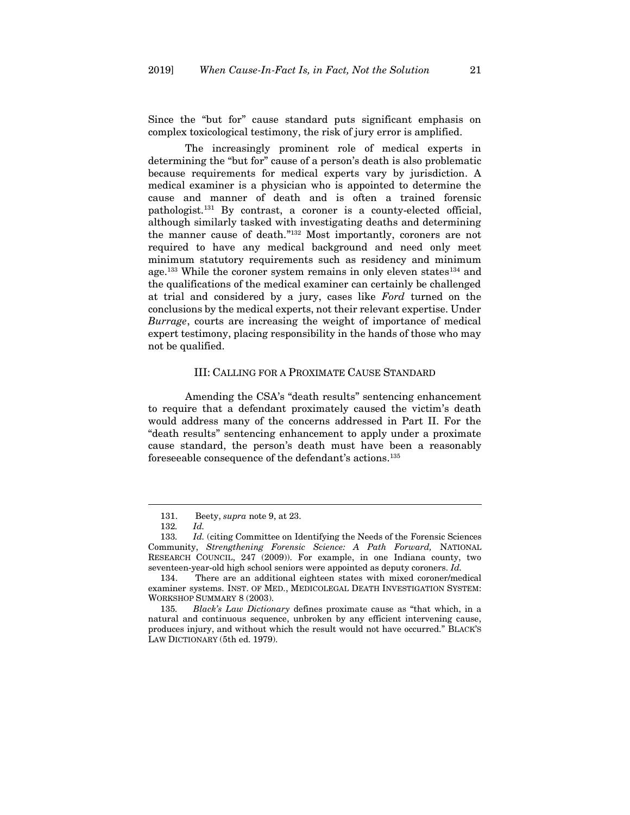Since the "but for" cause standard puts significant emphasis on complex toxicological testimony, the risk of jury error is amplified.

The increasingly prominent role of medical experts in determining the "but for" cause of a person's death is also problematic because requirements for medical experts vary by jurisdiction. A medical examiner is a physician who is appointed to determine the cause and manner of death and is often a trained forensic pathologist.<sup>131</sup> By contrast, a coroner is a county-elected official, although similarly tasked with investigating deaths and determining the manner cause of death." <sup>132</sup> Most importantly, coroners are not required to have any medical background and need only meet minimum statutory requirements such as residency and minimum age.<sup>133</sup> While the coroner system remains in only eleven states<sup>134</sup> and the qualifications of the medical examiner can certainly be challenged at trial and considered by a jury, cases like *Ford* turned on the conclusions by the medical experts, not their relevant expertise. Under *Burrage*, courts are increasing the weight of importance of medical expert testimony, placing responsibility in the hands of those who may not be qualified.

#### III: CALLING FOR A PROXIMATE CAUSE STANDARD

<span id="page-20-0"></span>Amending the CSA's "death results" sentencing enhancement to require that a defendant proximately caused the victim's death would address many of the concerns addressed in Part II. For the "death results" sentencing enhancement to apply under a proximate cause standard, the person's death must have been a reasonably foreseeable consequence of the defendant's actions.<sup>135</sup>

<sup>131.</sup> Beety, *supra* note [9,](#page-2-3) at 23.

<sup>132</sup>*. Id.*

<sup>133</sup>*. Id.* (citing Committee on Identifying the Needs of the Forensic Sciences Community, *Strengthening Forensic Science: A Path Forward,* NATIONAL RESEARCH COUNCIL, 247 (2009)). For example, in one Indiana county, two seventeen-year-old high school seniors were appointed as deputy coroners. *Id.*

<sup>134.</sup> There are an additional eighteen states with mixed coroner/medical examiner systems. INST. OF MED., MEDICOLEGAL DEATH INVESTIGATION SYSTEM: WORKSHOP SUMMARY 8 (2003).

<sup>135</sup>*. Black's Law Dictionary* defines proximate cause as "that which, in a natural and continuous sequence, unbroken by any efficient intervening cause, produces injury, and without which the result would not have occurred." BLACK'S LAW DICTIONARY (5th ed. 1979).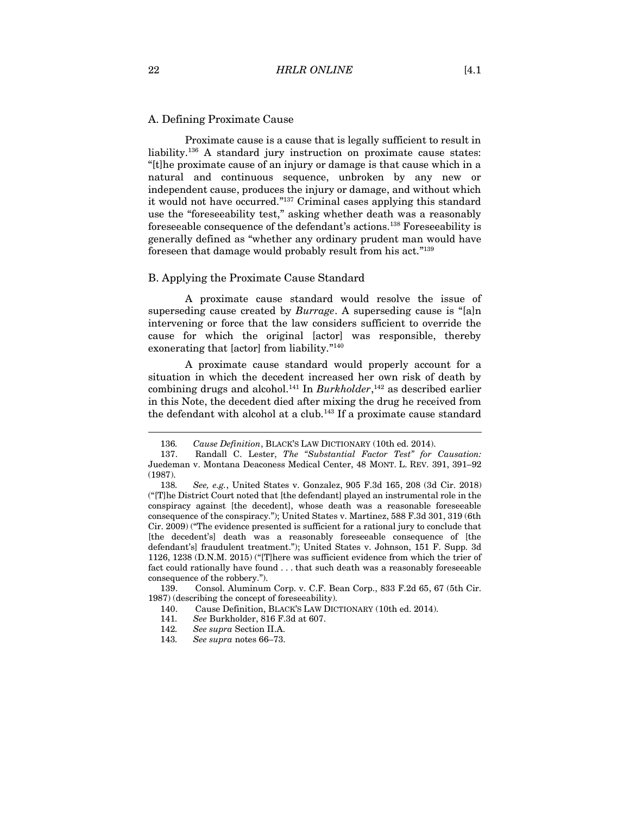#### <span id="page-21-0"></span>A. Defining Proximate Cause

Proximate cause is a cause that is legally sufficient to result in liability.<sup>136</sup> A standard jury instruction on proximate cause states: "[t]he proximate cause of an injury or damage is that cause which in a natural and continuous sequence, unbroken by any new or independent cause, produces the injury or damage, and without which it would not have occurred." <sup>137</sup> Criminal cases applying this standard use the "foreseeability test," asking whether death was a reasonably foreseeable consequence of the defendant's actions.<sup>138</sup> Foreseeability is generally defined as "whether any ordinary prudent man would have foreseen that damage would probably result from his act."<sup>139</sup>

#### <span id="page-21-1"></span>B. Applying the Proximate Cause Standard

A proximate cause standard would resolve the issue of superseding cause created by *Burrage*. A superseding cause is "[a]n intervening or force that the law considers sufficient to override the cause for which the original [actor] was responsible, thereby exonerating that [actor] from liability." 140

A proximate cause standard would properly account for a situation in which the decedent increased her own risk of death by combining drugs and alcohol.<sup>141</sup> In *Burkholder*, <sup>142</sup> as described earlier in this Note, the decedent died after mixing the drug he received from the defendant with alcohol at a club.<sup>143</sup> If a proximate cause standard

139. Consol. Aluminum Corp. v. C.F. Bean Corp., 833 F.2d 65, 67 (5th Cir. 1987) (describing the concept of foreseeability).

<sup>136</sup>*. Cause Definition*, BLACK'S LAW DICTIONARY (10th ed. 2014).

<sup>137.</sup> Randall C. Lester, *The "Substantial Factor Test" for Causation:*  Juedeman v. Montana Deaconess Medical Center, 48 MONT. L. REV. 391, 391–92 (1987).

<sup>138</sup>*. See, e.g.*, United States v. Gonzalez, 905 F.3d 165, 208 (3d Cir. 2018) ("[T]he District Court noted that [the defendant] played an instrumental role in the conspiracy against [the decedent], whose death was a reasonable foreseeable consequence of the conspiracy."); United States v. Martinez, 588 F.3d 301, 319 (6th Cir. 2009) ("The evidence presented is sufficient for a rational jury to conclude that [the decedent's] death was a reasonably foreseeable consequence of [the defendant's] fraudulent treatment."); United States v. Johnson, 151 F. Supp. 3d 1126, 1238 (D.N.M. 2015) ("[T]here was sufficient evidence from which the trier of fact could rationally have found . . . that such death was a reasonably foreseeable consequence of the robbery.").

<sup>140.</sup> Cause Definition, BLACK'S LAW DICTIONARY (10th ed. 2014).

<sup>141</sup>*. See* Burkholder, 816 F.3d at 607.

<sup>142</sup>*. See supra* Section II.A.

<sup>143</sup>*. See supra* note[s 66](#page-11-0)–[73.](#page-11-1)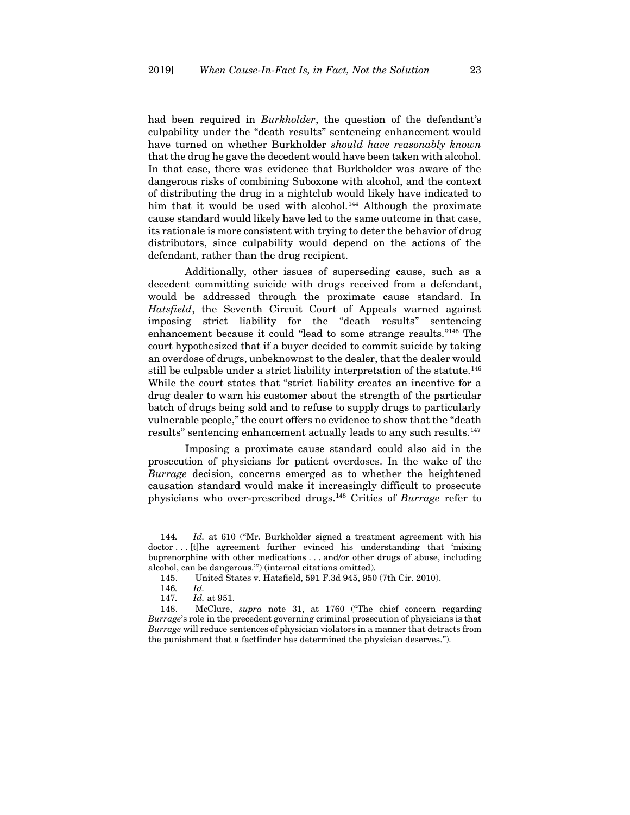had been required in *Burkholder*, the question of the defendant's culpability under the "death results" sentencing enhancement would have turned on whether Burkholder *should have reasonably known* that the drug he gave the decedent would have been taken with alcohol. In that case, there was evidence that Burkholder was aware of the dangerous risks of combining Suboxone with alcohol, and the context of distributing the drug in a nightclub would likely have indicated to him that it would be used with alcohol.<sup>144</sup> Although the proximate cause standard would likely have led to the same outcome in that case, its rationale is more consistent with trying to deter the behavior of drug distributors, since culpability would depend on the actions of the defendant, rather than the drug recipient.

Additionally, other issues of superseding cause, such as a decedent committing suicide with drugs received from a defendant, would be addressed through the proximate cause standard. In *Hatsfield*, the Seventh Circuit Court of Appeals warned against imposing strict liability for the "death results" sentencing enhancement because it could "lead to some strange results." <sup>145</sup> The court hypothesized that if a buyer decided to commit suicide by taking an overdose of drugs, unbeknownst to the dealer, that the dealer would still be culpable under a strict liability interpretation of the statute.<sup>146</sup> While the court states that "strict liability creates an incentive for a drug dealer to warn his customer about the strength of the particular batch of drugs being sold and to refuse to supply drugs to particularly vulnerable people," the court offers no evidence to show that the "death results" sentencing enhancement actually leads to any such results.<sup>147</sup>

Imposing a proximate cause standard could also aid in the prosecution of physicians for patient overdoses. In the wake of the *Burrage* decision, concerns emerged as to whether the heightened causation standard would make it increasingly difficult to prosecute physicians who over-prescribed drugs. <sup>148</sup> Critics of *Burrage* refer to

<sup>144</sup>*. Id.* at 610 ("Mr. Burkholder signed a treatment agreement with his doctor . . . [t]he agreement further evinced his understanding that 'mixing buprenorphine with other medications . . . and/or other drugs of abuse, including alcohol, can be dangerous.'") (internal citations omitted).

<sup>145.</sup> United States v. Hatsfield, 591 F.3d 945, 950 (7th Cir. 2010).

<sup>146</sup>*. Id.*

<sup>147</sup>*. Id.* at 951.

<sup>148.</sup> McClure, *supra* note [31,](#page-6-0) at 1760 ("The chief concern regarding *Burrage*'s role in the precedent governing criminal prosecution of physicians is that *Burrage* will reduce sentences of physician violators in a manner that detracts from the punishment that a factfinder has determined the physician deserves.").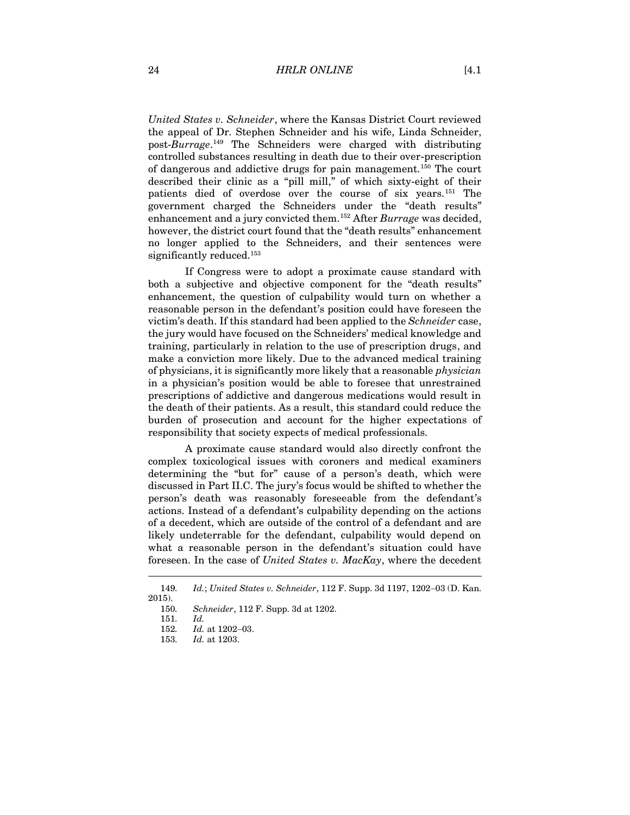*United States v. Schneider*, where the Kansas District Court reviewed the appeal of Dr. Stephen Schneider and his wife, Linda Schneider, post-*Burrage*. <sup>149</sup> The Schneiders were charged with distributing controlled substances resulting in death due to their over-prescription of dangerous and addictive drugs for pain management.<sup>150</sup> The court described their clinic as a "pill mill," of which sixty-eight of their patients died of overdose over the course of six years.<sup>151</sup> The government charged the Schneiders under the "death results" enhancement and a jury convicted them.<sup>152</sup> After *Burrage* was decided, however, the district court found that the "death results" enhancement no longer applied to the Schneiders, and their sentences were significantly reduced.<sup>153</sup>

If Congress were to adopt a proximate cause standard with both a subjective and objective component for the "death results" enhancement, the question of culpability would turn on whether a reasonable person in the defendant's position could have foreseen the victim's death. If this standard had been applied to the *Schneider* case, the jury would have focused on the Schneiders' medical knowledge and training, particularly in relation to the use of prescription drugs, and make a conviction more likely. Due to the advanced medical training of physicians, it is significantly more likely that a reasonable *physician* in a physician's position would be able to foresee that unrestrained prescriptions of addictive and dangerous medications would result in the death of their patients. As a result, this standard could reduce the burden of prosecution and account for the higher expectations of responsibility that society expects of medical professionals.

A proximate cause standard would also directly confront the complex toxicological issues with coroners and medical examiners determining the "but for" cause of a person's death, which were discussed in Part II.C. The jury's focus would be shifted to whether the person's death was reasonably foreseeable from the defendant's actions. Instead of a defendant's culpability depending on the actions of a decedent, which are outside of the control of a defendant and are likely undeterrable for the defendant, culpability would depend on what a reasonable person in the defendant's situation could have foreseen. In the case of *United States v. MacKay*, where the decedent

<sup>149</sup>*. Id.*; *United States v. Schneider*, 112 F. Supp. 3d 1197, 1202−03 (D. Kan. 2015).

<sup>150</sup>*. Schneider*, 112 F. Supp. 3d at 1202.

<sup>151</sup>*. Id.*

<sup>152</sup>*. Id.* at 1202−03.

<sup>153</sup>*. Id.* at 1203.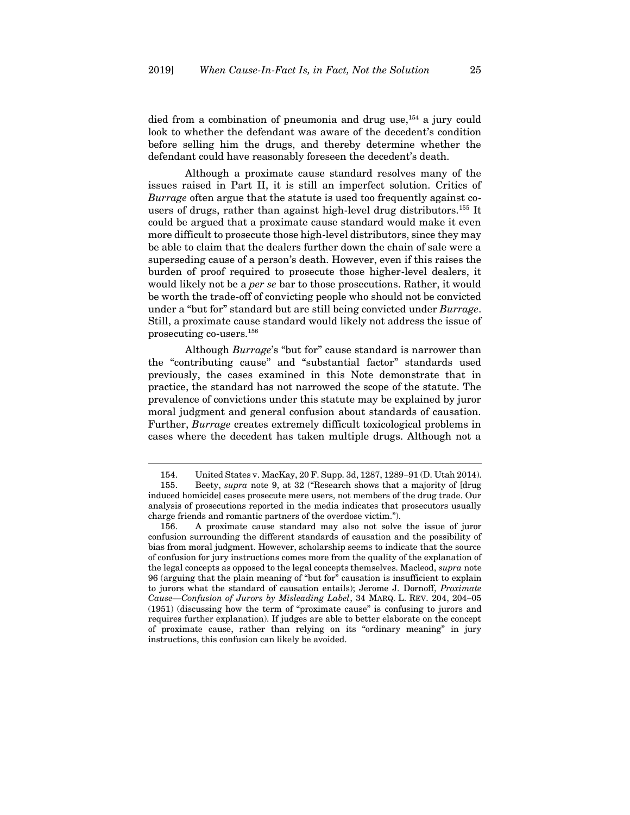died from a combination of pneumonia and drug use,<sup>154</sup> a jury could look to whether the defendant was aware of the decedent's condition before selling him the drugs, and thereby determine whether the defendant could have reasonably foreseen the decedent's death.

Although a proximate cause standard resolves many of the issues raised in Part II, it is still an imperfect solution. Critics of *Burrage* often argue that the statute is used too frequently against cousers of drugs, rather than against high-level drug distributors.<sup>155</sup> It could be argued that a proximate cause standard would make it even more difficult to prosecute those high-level distributors, since they may be able to claim that the dealers further down the chain of sale were a superseding cause of a person's death. However, even if this raises the burden of proof required to prosecute those higher-level dealers, it would likely not be a *per se* bar to those prosecutions. Rather, it would be worth the trade-off of convicting people who should not be convicted under a "but for" standard but are still being convicted under *Burrage*. Still, a proximate cause standard would likely not address the issue of prosecuting co-users.<sup>156</sup>

Although *Burrage*'s "but for" cause standard is narrower than the "contributing cause" and "substantial factor" standards used previously, the cases examined in this Note demonstrate that in practice, the standard has not narrowed the scope of the statute. The prevalence of convictions under this statute may be explained by juror moral judgment and general confusion about standards of causation. Further, *Burrage* creates extremely difficult toxicological problems in cases where the decedent has taken multiple drugs. Although not a

<sup>154.</sup> United States v. MacKay, 20 F. Supp. 3d, 1287, 1289−91 (D. Utah 2014). 155. Beety, *supra* note [9,](#page-2-3) at 32 ("Research shows that a majority of [drug induced homicide] cases prosecute mere users, not members of the drug trade. Our analysis of prosecutions reported in the media indicates that prosecutors usually charge friends and romantic partners of the overdose victim.").

<sup>156.</sup> A proximate cause standard may also not solve the issue of juror confusion surrounding the different standards of causation and the possibility of bias from moral judgment. However, scholarship seems to indicate that the source of confusion for jury instructions comes more from the quality of the explanation of the legal concepts as opposed to the legal concepts themselves. Macleod, *supra* note [96](#page-15-0) (arguing that the plain meaning of "but for" causation is insufficient to explain to jurors what the standard of causation entails); Jerome J. Dornoff, *Proximate Cause—Confusion of Jurors by Misleading Label*, 34 MARQ. L. REV. 204, 204−05 (1951) (discussing how the term of "proximate cause" is confusing to jurors and requires further explanation). If judges are able to better elaborate on the concept of proximate cause, rather than relying on its "ordinary meaning" in jury instructions, this confusion can likely be avoided.